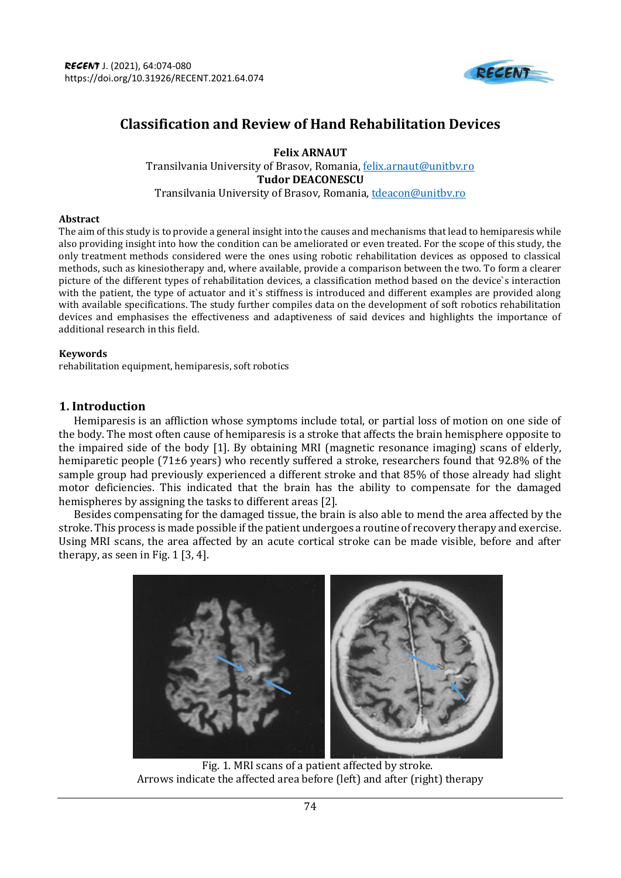

# **Classification and Review of Hand Rehabilitation Devices**

**Felix ARNAUT** Transilvania University of Brasov, Romania[, felix.arnaut@unitbv.ro](mailto:felix.arnaut@unitbv.ro) **Tudor DEACONESCU** Transilvania University of Brasov, Romania[, tdeacon@unitbv.ro](mailto:tdeacon@unitbv.ro)

#### **Abstract**

The aim of this study is to provide a general insight into the causes and mechanisms that lead to hemiparesis while also providing insight into how the condition can be ameliorated or even treated. For the scope of this study, the only treatment methods considered were the ones using robotic rehabilitation devices as opposed to classical methods, such as kinesiotherapy and, where available, provide a comparison between the two. To form a clearer picture of the different types of rehabilitation devices, a classification method based on the device`s interaction with the patient, the type of actuator and it's stiffness is introduced and different examples are provided along with available specifications. The study further compiles data on the development of soft robotics rehabilitation devices and emphasises the effectiveness and adaptiveness of said devices and highlights the importance of additional research in this field.

#### **Keywords**

rehabilitation equipment, hemiparesis, soft robotics

## **1. Introduction**

Hemiparesis is an affliction whose symptoms include total, or partial loss of motion on one side of the body. The most often cause of hemiparesis is a stroke that affects the brain hemisphere opposite to the impaired side of the body [1]. By obtaining MRI (magnetic resonance imaging) scans of elderly, hemiparetic people (71±6 years) who recently suffered a stroke, researchers found that 92.8% of the sample group had previously experienced a different stroke and that 85% of those already had slight motor deficiencies. This indicated that the brain has the ability to compensate for the damaged hemispheres by assigning the tasks to different areas [2].

Besides compensating for the damaged tissue, the brain is also able to mend the area affected by the stroke. This process is made possible if the patient undergoes a routine of recovery therapy and exercise. Using MRI scans, the area affected by an acute cortical stroke can be made visible, before and after therapy, as seen in Fig. 1 [3, 4].



Fig. 1. MRI scans of a patient affected by stroke. Arrows indicate the affected area before (left) and after (right) therapy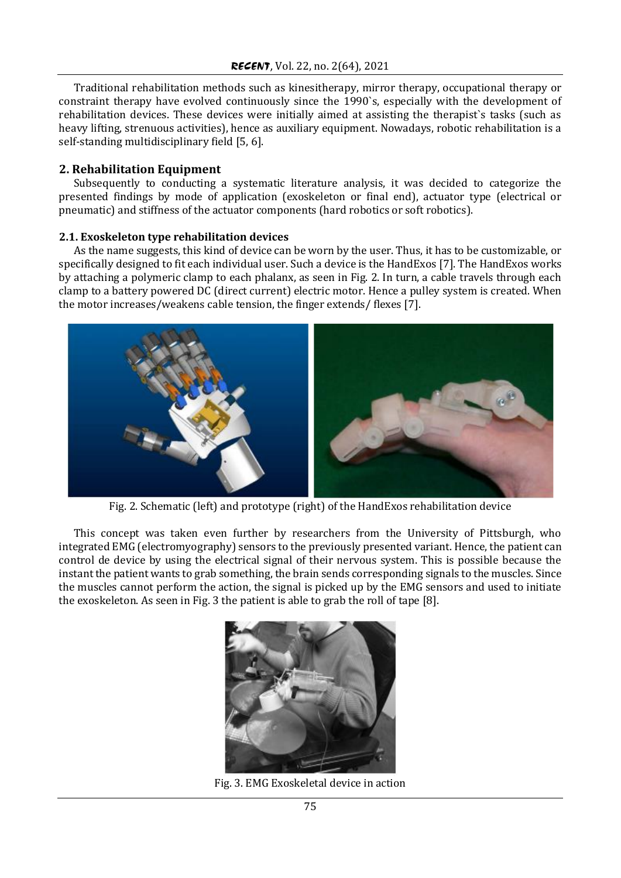Traditional rehabilitation methods such as kinesitherapy, mirror therapy, occupational therapy or constraint therapy have evolved continuously since the 1990`s, especially with the development of rehabilitation devices. These devices were initially aimed at assisting the therapist`s tasks (such as heavy lifting, strenuous activities), hence as auxiliary equipment. Nowadays, robotic rehabilitation is a self-standing multidisciplinary field [5, 6].

# **2. Rehabilitation Equipment**

Subsequently to conducting a systematic literature analysis, it was decided to categorize the presented findings by mode of application (exoskeleton or final end), actuator type (electrical or pneumatic) and stiffness of the actuator components (hard robotics or soft robotics).

### **2.1. Exoskeleton type rehabilitation devices**

As the name suggests, this kind of device can be worn by the user. Thus, it has to be customizable, or specifically designed to fit each individual user. Such a device is the HandExos [7]. The HandExos works by attaching a polymeric clamp to each phalanx, as seen in Fig. 2. In turn, a cable travels through each clamp to a battery powered DC (direct current) electric motor. Hence a pulley system is created. When the motor increases/weakens cable tension, the finger extends/ flexes [7].



Fig. 2. Schematic (left) and prototype (right) of the HandExos rehabilitation device

This concept was taken even further by researchers from the University of Pittsburgh, who integrated EMG (electromyography) sensors to the previously presented variant. Hence, the patient can control de device by using the electrical signal of their nervous system. This is possible because the instant the patient wants to grab something, the brain sends corresponding signals to the muscles. Since the muscles cannot perform the action, the signal is picked up by the EMG sensors and used to initiate the exoskeleton. As seen in Fig. 3 the patient is able to grab the roll of tape [8].



Fig. 3. EMG Exoskeletal device in action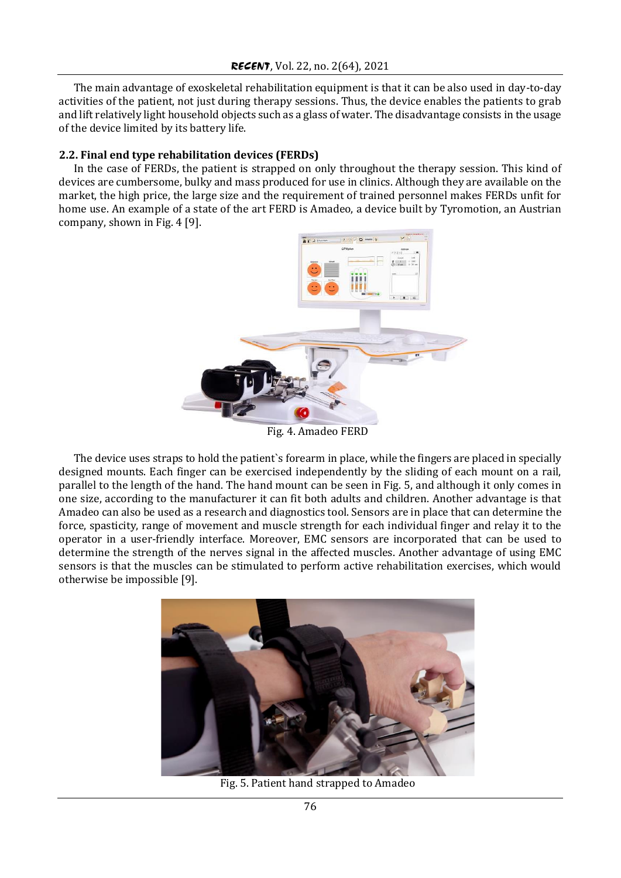The main advantage of exoskeletal rehabilitation equipment is that it can be also used in day-to-day activities of the patient, not just during therapy sessions. Thus, the device enables the patients to grab and lift relatively light household objects such as a glass of water. The disadvantage consists in the usage of the device limited by its battery life.

## **2.2. Final end type rehabilitation devices (FERDs)**

In the case of FERDs, the patient is strapped on only throughout the therapy session. This kind of devices are cumbersome, bulky and mass produced for use in clinics. Although they are available on the market, the high price, the large size and the requirement of trained personnel makes FERDs unfit for home use. An example of a state of the art FERD is Amadeo, a device built by Tyromotion, an Austrian company, shown in Fig. 4 [9].



Fig. 4. Amadeo FERD

The device uses straps to hold the patient`s forearm in place, while the fingers are placed in specially designed mounts. Each finger can be exercised independently by the sliding of each mount on a rail, parallel to the length of the hand. The hand mount can be seen in Fig. 5, and although it only comes in one size, according to the manufacturer it can fit both adults and children. Another advantage is that Amadeo can also be used as a research and diagnostics tool. Sensors are in place that can determine the force, spasticity, range of movement and muscle strength for each individual finger and relay it to the operator in a user-friendly interface. Moreover, EMC sensors are incorporated that can be used to determine the strength of the nerves signal in the affected muscles. Another advantage of using EMC sensors is that the muscles can be stimulated to perform active rehabilitation exercises, which would otherwise be impossible [9].



Fig. 5. Patient hand strapped to Amadeo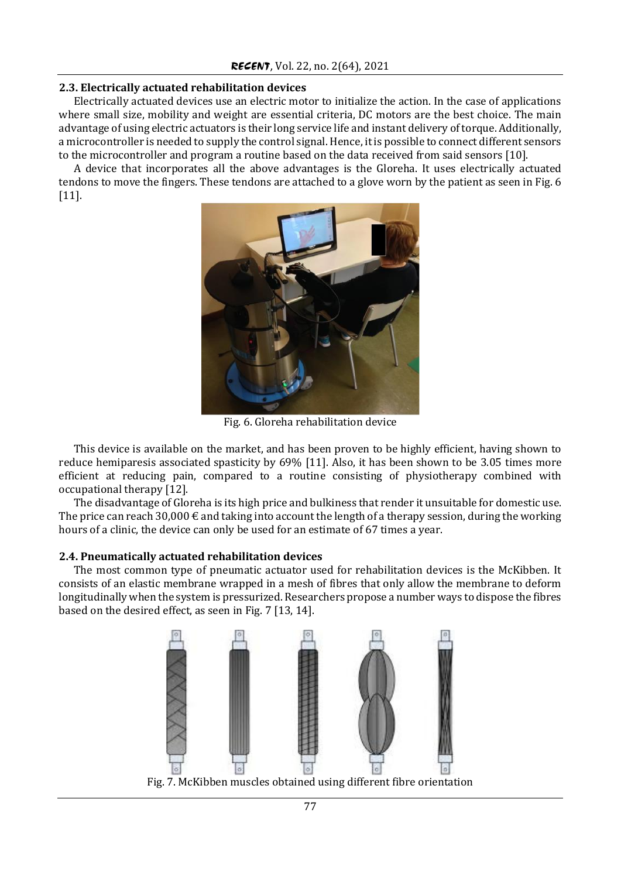### **2.3. Electrically actuated rehabilitation devices**

Electrically actuated devices use an electric motor to initialize the action. In the case of applications where small size, mobility and weight are essential criteria, DC motors are the best choice. The main advantage of using electric actuators is their long service life and instant delivery of torque. Additionally, a microcontroller is needed to supply the control signal. Hence, it is possible to connect different sensors to the microcontroller and program a routine based on the data received from said sensors [10].

A device that incorporates all the above advantages is the Gloreha. It uses electrically actuated tendons to move the fingers. These tendons are attached to a glove worn by the patient as seen in Fig. 6 [11].



Fig. 6. Gloreha rehabilitation device

This device is available on the market, and has been proven to be highly efficient, having shown to reduce hemiparesis associated spasticity by 69% [11]. Also, it has been shown to be 3.05 times more efficient at reducing pain, compared to a routine consisting of physiotherapy combined with occupational therapy [12].

The disadvantage of Gloreha is its high price and bulkiness that render it unsuitable for domestic use. The price can reach 30,000  $\epsilon$  and taking into account the length of a therapy session, during the working hours of a clinic, the device can only be used for an estimate of 67 times a year.

## **2.4. Pneumatically actuated rehabilitation devices**

The most common type of pneumatic actuator used for rehabilitation devices is the McKibben. It consists of an elastic membrane wrapped in a mesh of fibres that only allow the membrane to deform longitudinally when the system is pressurized. Researchers propose a number ways to dispose the fibres based on the desired effect, as seen in Fig. 7 [13, 14].

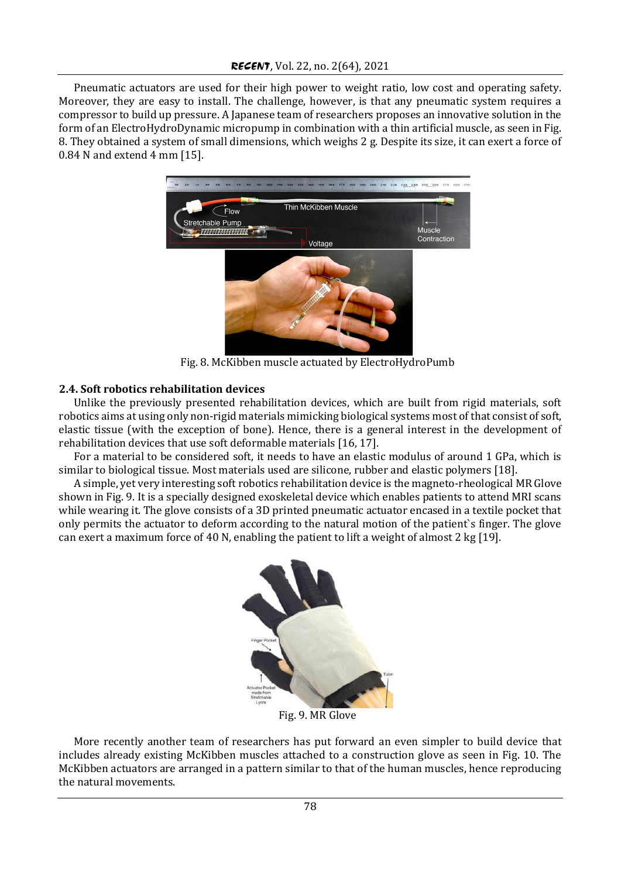Pneumatic actuators are used for their high power to weight ratio, low cost and operating safety. Moreover, they are easy to install. The challenge, however, is that any pneumatic system requires a compressor to build up pressure. A Japanese team of researchers proposes an innovative solution in the form of an ElectroHydroDynamic micropump in combination with a thin artificial muscle, as seen in Fig. 8. They obtained a system of small dimensions, which weighs 2 g. Despite its size, it can exert a force of 0.84 N and extend 4 mm [15].



Fig. 8. McKibben muscle actuated by ElectroHydroPumb

## **2.4. Soft robotics rehabilitation devices**

Unlike the previously presented rehabilitation devices, which are built from rigid materials, soft robotics aims at using only non-rigid materials mimicking biological systems most of that consist of soft, elastic tissue (with the exception of bone). Hence, there is a general interest in the development of rehabilitation devices that use soft deformable materials [16, 17].

For a material to be considered soft, it needs to have an elastic modulus of around 1 GPa, which is similar to biological tissue. Most materials used are silicone, rubber and elastic polymers [18].

A simple, yet very interesting soft robotics rehabilitation device is the magneto-rheological MR Glove shown in Fig. 9. It is a specially designed exoskeletal device which enables patients to attend MRI scans while wearing it. The glove consists of a 3D printed pneumatic actuator encased in a textile pocket that only permits the actuator to deform according to the natural motion of the patient`s finger. The glove can exert a maximum force of 40 N, enabling the patient to lift a weight of almost 2 kg [19].



Fig. 9. MR Glove

More recently another team of researchers has put forward an even simpler to build device that includes already existing McKibben muscles attached to a construction glove as seen in Fig. 10. The McKibben actuators are arranged in a pattern similar to that of the human muscles, hence reproducing the natural movements.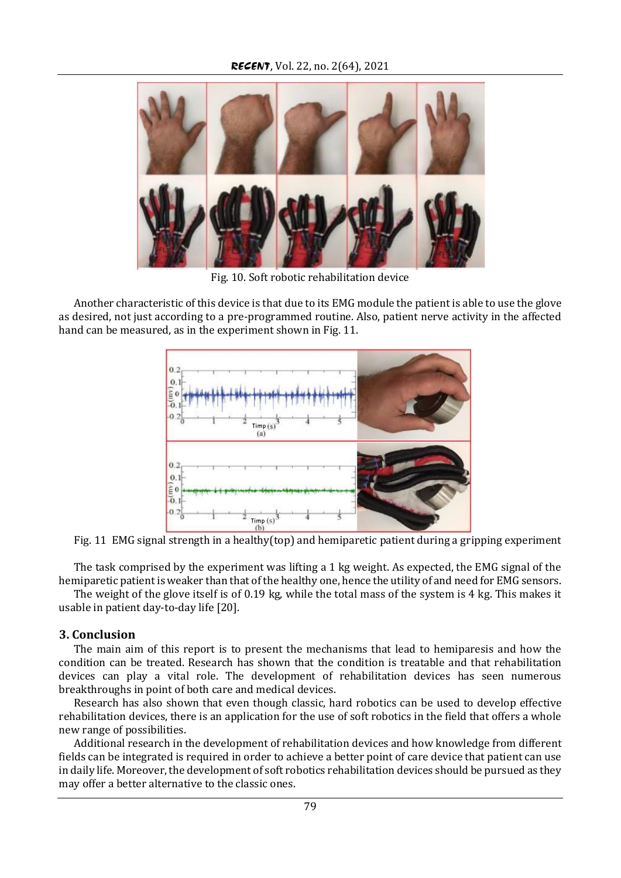

Fig. 10. Soft robotic rehabilitation device

Another characteristic of this device is that due to its EMG module the patient is able to use the glove as desired, not just according to a pre-programmed routine. Also, patient nerve activity in the affected hand can be measured, as in the experiment shown in Fig. 11.



Fig. 11 EMG signal strength in a healthy(top) and hemiparetic patient during a gripping experiment

The task comprised by the experiment was lifting a 1 kg weight. As expected, the EMG signal of the hemiparetic patient is weaker than that of the healthy one, hence the utility of and need for EMG sensors.

The weight of the glove itself is of 0.19 kg, while the total mass of the system is 4 kg. This makes it usable in patient day-to-day life [20].

#### **3. Conclusion**

The main aim of this report is to present the mechanisms that lead to hemiparesis and how the condition can be treated. Research has shown that the condition is treatable and that rehabilitation devices can play a vital role. The development of rehabilitation devices has seen numerous breakthroughs in point of both care and medical devices.

Research has also shown that even though classic, hard robotics can be used to develop effective rehabilitation devices, there is an application for the use of soft robotics in the field that offers a whole new range of possibilities.

Additional research in the development of rehabilitation devices and how knowledge from different fields can be integrated is required in order to achieve a better point of care device that patient can use in daily life. Moreover, the development of soft robotics rehabilitation devices should be pursued as they may offer a better alternative to the classic ones.